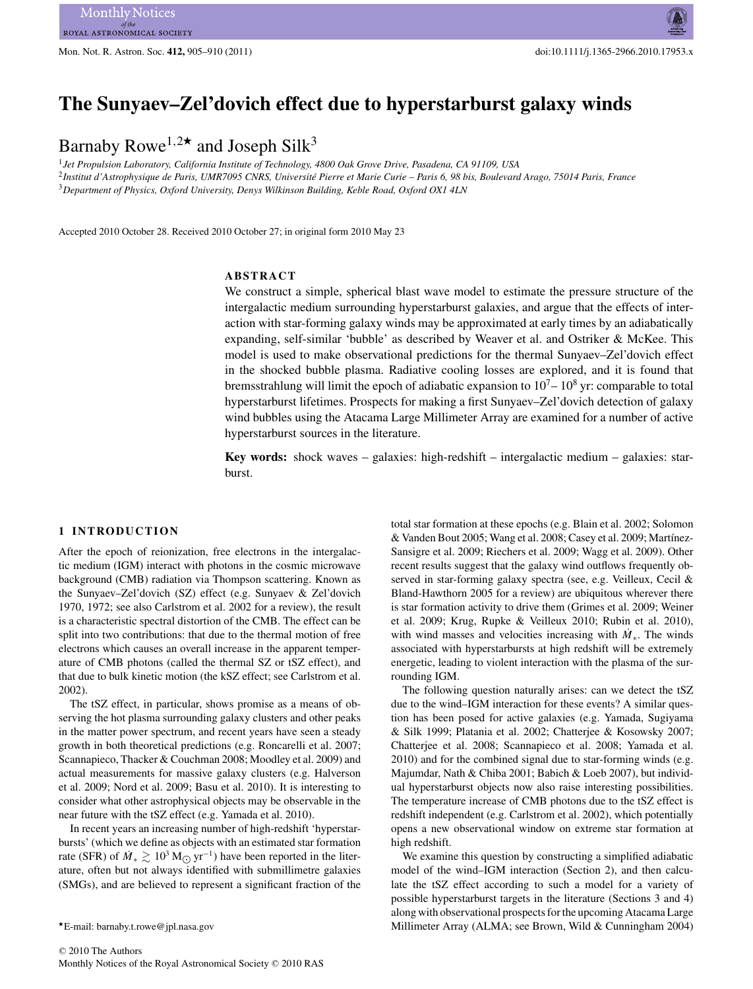# **The Sunyaev–Zel'dovich effect due to hyperstarburst galaxy winds**

# Barnaby Rowe1*,*<sup>2</sup>*-* and Joseph Silk<sup>3</sup>

<sup>1</sup>*Jet Propulsion Laboratory, California Institute of Technology, 4800 Oak Grove Drive, Pasadena, CA 91109, USA* <sup>2</sup>*Institut d'Astrophysique de Paris, UMR7095 CNRS, Universite Pierre et Marie Curie – Paris 6, 98 bis, Boulevard Arago, 75014 Paris, France ´* <sup>3</sup>*Department of Physics, Oxford University, Denys Wilkinson Building, Keble Road, Oxford OX1 4LN*

Accepted 2010 October 28. Received 2010 October 27; in original form 2010 May 23

### **ABSTRACT**

We construct a simple, spherical blast wave model to estimate the pressure structure of the intergalactic medium surrounding hyperstarburst galaxies, and argue that the effects of interaction with star-forming galaxy winds may be approximated at early times by an adiabatically expanding, self-similar 'bubble' as described by Weaver et al. and Ostriker & McKee. This model is used to make observational predictions for the thermal Sunyaev–Zel'dovich effect in the shocked bubble plasma. Radiative cooling losses are explored, and it is found that bremsstrahlung will limit the epoch of adiabatic expansion to  $10<sup>7</sup> - 10<sup>8</sup>$  yr: comparable to total hyperstarburst lifetimes. Prospects for making a first Sunyaev–Zel'dovich detection of galaxy wind bubbles using the Atacama Large Millimeter Array are examined for a number of active hyperstarburst sources in the literature.

**Key words:** shock waves – galaxies: high-redshift – intergalactic medium – galaxies: starburst.

# **1 INTRODUCTION**

After the epoch of reionization, free electrons in the intergalactic medium (IGM) interact with photons in the cosmic microwave background (CMB) radiation via Thompson scattering. Known as the Sunyaev–Zel'dovich (SZ) effect (e.g. Sunyaev & Zel'dovich 1970, 1972; see also Carlstrom et al. 2002 for a review), the result is a characteristic spectral distortion of the CMB. The effect can be split into two contributions: that due to the thermal motion of free electrons which causes an overall increase in the apparent temperature of CMB photons (called the thermal SZ or tSZ effect), and that due to bulk kinetic motion (the kSZ effect; see Carlstrom et al. 2002).

The tSZ effect, in particular, shows promise as a means of observing the hot plasma surrounding galaxy clusters and other peaks in the matter power spectrum, and recent years have seen a steady growth in both theoretical predictions (e.g. Roncarelli et al. 2007; Scannapieco, Thacker & Couchman 2008; Moodley et al. 2009) and actual measurements for massive galaxy clusters (e.g. Halverson et al. 2009; Nord et al. 2009; Basu et al. 2010). It is interesting to consider what other astrophysical objects may be observable in the near future with the tSZ effect (e.g. Yamada et al. 2010).

In recent years an increasing number of high-redshift 'hyperstarbursts' (which we define as objects with an estimated star formation rate (SFR) of  $\dot{M}_* \gtrsim 10^3 \,\mathrm{M}_{\odot} \,\mathrm{yr}^{-1}$ ) have been reported in the liter-<br>ature, often but not always identified with submillimetre galaxies ature, often but not always identified with submillimetre galaxies (SMGs), and are believed to represent a significant fraction of the total star formation at these epochs (e.g. Blain et al. 2002; Solomon & Vanden Bout 2005; Wang et al. 2008; Casey et al. 2009; Martínez-Sansigre et al. 2009; Riechers et al. 2009; Wagg et al. 2009). Other recent results suggest that the galaxy wind outflows frequently observed in star-forming galaxy spectra (see, e.g. Veilleux, Cecil & Bland-Hawthorn 2005 for a review) are ubiquitous wherever there is star formation activity to drive them (Grimes et al. 2009; Weiner et al. 2009; Krug, Rupke & Veilleux 2010; Rubin et al. 2010), with wind masses and velocities increasing with  $M_{*}$ . The winds associated with hyperstarbursts at high redshift will be extremely energetic, leading to violent interaction with the plasma of the surrounding IGM.

The following question naturally arises: can we detect the tSZ due to the wind–IGM interaction for these events? A similar question has been posed for active galaxies (e.g. Yamada, Sugiyama & Silk 1999; Platania et al. 2002; Chatterjee & Kosowsky 2007; Chatterjee et al. 2008; Scannapieco et al. 2008; Yamada et al. 2010) and for the combined signal due to star-forming winds (e.g. Majumdar, Nath & Chiba 2001; Babich & Loeb 2007), but individual hyperstarburst objects now also raise interesting possibilities. The temperature increase of CMB photons due to the tSZ effect is redshift independent (e.g. Carlstrom et al. 2002), which potentially opens a new observational window on extreme star formation at high redshift.

We examine this question by constructing a simplified adiabatic model of the wind–IGM interaction (Section 2), and then calculate the tSZ effect according to such a model for a variety of possible hyperstarburst targets in the literature (Sections 3 and 4) along with observational prospects for the upcoming Atacama Large Millimeter Array (ALMA; see Brown, Wild & Cunningham 2004)

*<sup>-</sup>*E-mail: barnaby.t.rowe@jpl.nasa.gov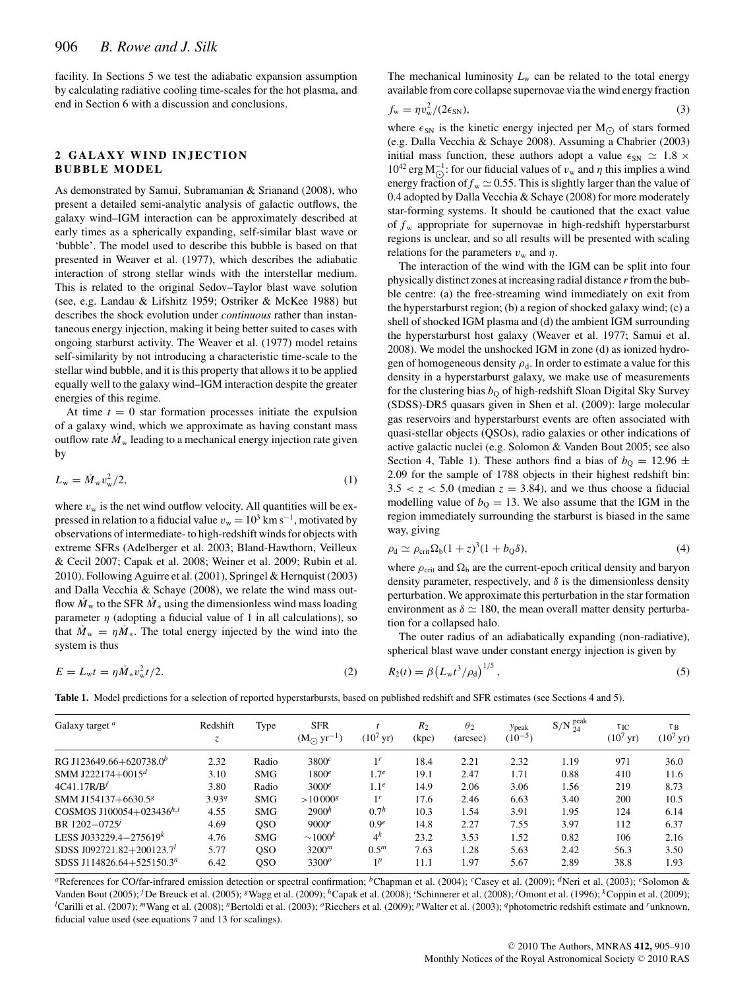facility. In Sections 5 we test the adiabatic expansion assumption by calculating radiative cooling time-scales for the hot plasma, and end in Section 6 with a discussion and conclusions.

# **2 GALAXY WIND INJECTION BUBBLE MODEL**

As demonstrated by Samui, Subramanian & Srianand (2008), who present a detailed semi-analytic analysis of galactic outflows, the galaxy wind–IGM interaction can be approximately described at early times as a spherically expanding, self-similar blast wave or 'bubble'. The model used to describe this bubble is based on that presented in Weaver et al. (1977), which describes the adiabatic interaction of strong stellar winds with the interstellar medium. This is related to the original Sedov–Taylor blast wave solution (see, e.g. Landau & Lifshitz 1959; Ostriker & McKee 1988) but describes the shock evolution under *continuous* rather than instantaneous energy injection, making it being better suited to cases with ongoing starburst activity. The Weaver et al. (1977) model retains self-similarity by not introducing a characteristic time-scale to the stellar wind bubble, and it is this property that allows it to be applied equally well to the galaxy wind–IGM interaction despite the greater energies of this regime.

At time  $t = 0$  star formation processes initiate the expulsion of a galaxy wind, which we approximate as having constant mass outflow rate  $\dot{M}_{\rm w}$  leading to a mechanical energy injection rate given by

$$
L_{\rm w} = \dot{M}_{\rm w} v_{\rm w}^2 / 2, \qquad (1)
$$

where  $v_w$  is the net wind outflow velocity. All quantities will be expressed in relation to a fiducial value  $v_w = 10^3$  km s<sup>-1</sup>, motivated by observations of intermediate- to high-redshift winds for objects with extreme SFRs (Adelberger et al. 2003; Bland-Hawthorn, Veilleux & Cecil 2007; Capak et al. 2008; Weiner et al. 2009; Rubin et al. 2010). Following Aguirre et al. (2001), Springel & Hernquist (2003) and Dalla Vecchia & Schaye (2008), we relate the wind mass outflow  $\dot{M}_{\rm w}$  to the SFR  $\dot{M}_{*}$  using the dimensionless wind mass loading parameter  $\eta$  (adopting a fiducial value of 1 in all calculations), so that  $\dot{M}_{w} = \eta \dot{M}_{*}$ . The total energy injected by the wind into the system is thus

$$
E = L_{\rm w}t = \eta \dot{M}_{\ast} v_{\rm w}^2 t / 2. \tag{2}
$$

The mechanical luminosity  $L<sub>w</sub>$  can be related to the total energy available from core collapse supernovae via the wind energy fraction

$$
f_{\rm w} = \eta v_{\rm w}^2 / (2\epsilon_{\rm SN}),\tag{3}
$$

where  $\epsilon_{SN}$  is the kinetic energy injected per  $M_{\odot}$  of stars formed (e.g. Dalla Vecchia & Schave 2008). Assuming a Chabrier (2003) (e.g. Dalla Vecchia & Schaye 2008). Assuming a Chabrier (2003) initial mass function, these authors adopt a value  $\epsilon_{SN} \simeq 1.8 \times$ 10<sup>42</sup> erg M<sub>○</sub><sup>1</sup>; for our fiducial values of *v<sub>w</sub>* and *η* this implies a wind energy fraction of  $f \sim \infty$  0.55. This is slightly larger than the value of energy fraction of  $f_w \approx 0.55$ . This is slightly larger than the value of 0.4 adopted by Dalla Vecchia & Schaye (2008) for more moderately star-forming systems. It should be cautioned that the exact value of  $f_w$  appropriate for supernovae in high-redshift hyperstarburst regions is unclear, and so all results will be presented with scaling relations for the parameters  $v_w$  and  $\eta$ .

The interaction of the wind with the IGM can be split into four physically distinct zones at increasing radial distance *r*from the bubble centre: (a) the free-streaming wind immediately on exit from the hyperstarburst region; (b) a region of shocked galaxy wind; (c) a shell of shocked IGM plasma and (d) the ambient IGM surrounding the hyperstarburst host galaxy (Weaver et al. 1977; Samui et al. 2008). We model the unshocked IGM in zone (d) as ionized hydrogen of homogeneous density  $\rho_d$ . In order to estimate a value for this density in a hyperstarburst galaxy, we make use of measurements for the clustering bias  $b<sub>0</sub>$  of high-redshift Sloan Digital Sky Survey (SDSS)-DR5 quasars given in Shen et al. (2009): large molecular gas reservoirs and hyperstarburst events are often associated with quasi-stellar objects (QSOs), radio galaxies or other indications of active galactic nuclei (e.g. Solomon & Vanden Bout 2005; see also Section 4, Table 1). These authors find a bias of  $b<sub>O</sub> = 12.96 \pm$ 2.09 for the sample of 1788 objects in their highest redshift bin:  $3.5 < z < 5.0$  (median  $z = 3.84$ ), and we thus choose a fiducial modelling value of  $b<sub>Q</sub> = 13$ . We also assume that the IGM in the region immediately surrounding the starburst is biased in the same way, giving

$$
\rho_d \simeq \rho_{\rm crit} \Omega_b (1+z)^3 (1+b_0 \delta),\tag{4}
$$

where  $\rho_{\text{crit}}$  and  $\Omega_{\text{b}}$  are the current-epoch critical density and baryon density parameter, respectively, and  $\delta$  is the dimensionless density perturbation. We approximate this perturbation in the star formation environment as  $\delta \simeq 180$ , the mean overall matter density perturbation for a collapsed halo.

The outer radius of an adiabatically expanding (non-radiative), spherical blast wave under constant energy injection is given by

$$
R_2(t) = \beta \left( L_{\rm w} t^3 / \rho_{\rm d} \right)^{1/5},\tag{5}
$$

**Table 1.** Model predictions for a selection of reported hyperstarbursts, based on published redshift and SFR estimates (see Sections 4 and 5).

| Galaxy target <sup>a</sup>            | Redshift<br>Z. | Type       | <b>SFR</b><br>$(MQ)$ yr <sup>-1</sup> ) | $(10^{7} \,\text{yr})$ | R <sub>2</sub><br>(kpc) | $\theta_2$<br>(arcsec) | <b>Y</b> peak<br>$(10^{-5})$ | $S/N$ <sup>peak</sup> <sub>24</sub> | $\tau_{\mathrm{IC}}$<br>$(10^{7} \text{ yr})$ | $\tau_B$<br>$(10^7 \,\text{yr})$ |
|---------------------------------------|----------------|------------|-----------------------------------------|------------------------|-------------------------|------------------------|------------------------------|-------------------------------------|-----------------------------------------------|----------------------------------|
| RG J123649.66+620738.0 <sup>b</sup>   | 2.32           | Radio      | 3800 <sup>c</sup>                       | 1 <sup>r</sup>         | 18.4                    | 2.21                   | 2.32                         | 1.19                                | 971                                           | 36.0                             |
| SMM J222174+0015 <sup>d</sup>         | 3.10           | <b>SMG</b> | 1800 <sup>e</sup>                       | 1.7 <sup>e</sup>       | 19.1                    | 2.47                   | 1.71                         | 0.88                                | 410                                           | 11.6                             |
| 4C41.17R/B <sup>f</sup>               | 3.80           | Radio      | $3000^e$                                | 1.1 <sup>e</sup>       | 14.9                    | 2.06                   | 3.06                         | 1.56                                | 219                                           | 8.73                             |
| SMM J154137+6630.58                   | 3.939          | <b>SMG</b> | $>10000$ <sup>g</sup>                   | 1 <sup>r</sup>         | 17.6                    | 2.46                   | 6.63                         | 3.40                                | 200                                           | 10.5                             |
| COSMOS J100054+023436 <sup>h,i</sup>  | 4.55           | <b>SMG</b> | $2900^h$                                | 0.7 <sup>h</sup>       | 10.3                    | 1.54                   | 3.91                         | 1.95                                | 124                                           | 6.14                             |
| BR 1202-0725                          | 4.69           | <b>OSO</b> | 9000 <sup>e</sup>                       | 0.9 <sup>e</sup>       | 14.8                    | 2.27                   | 7.55                         | 3.97                                | 112                                           | 6.37                             |
| LESS J033229.4-275619 <sup>k</sup>    | 4.76           | <b>SMG</b> | $\sim 1000^k$                           | $4^k$                  | 23.2                    | 3.53                   | 1.52                         | 0.82                                | 106                                           | 2.16                             |
| SDSS J092721.82+200123.7 <sup>1</sup> | 5.77           | <b>OSO</b> | 3200 <sup>m</sup>                       | $0.5^m$                | 7.63                    | 1.28                   | 5.63                         | 2.42                                | 56.3                                          | 3.50                             |
| SDSS J114826.64+525150.3 <sup>n</sup> | 6.42           | <b>OSO</b> | $3300^o$                                | 1 <sup>p</sup>         | 11.1                    | 1.97                   | 5.67                         | 2.89                                | 38.8                                          | 1.93                             |

*a*References for CO/far-infrared emission detection or spectral confirmation; <sup>*b*</sup>Chapman et al. (2004); <sup>*c*</sup>Casey et al. (2009); <sup>*d*</sup>Neri et al. (2003); <sup>*e*</sup>Solomon & Vanden Bout (2005); <sup>*f*</sup> De Breuck et al. (2005); <sup>*g*</sup> Wagg et al. (2009); <sup>*h*</sup> Capak et al. (2008); <sup>*i*</sup> Schinnerer et al. (2008); <sup>*j*</sup> Omont et al. (1996); <sup>*k*</sup> Coppin et al. (2009); *l*<sup>2</sup>Carilli et al. (2007); *m*Wang et al. (2008); *n*Bertoldi et al. (2003); *o*Riechers et al. (2009); *p*Walter et al. (2003); *q*photometric redshift estimate and *r*unknown, fiducial value used (see equations 7 and 13 for scalings).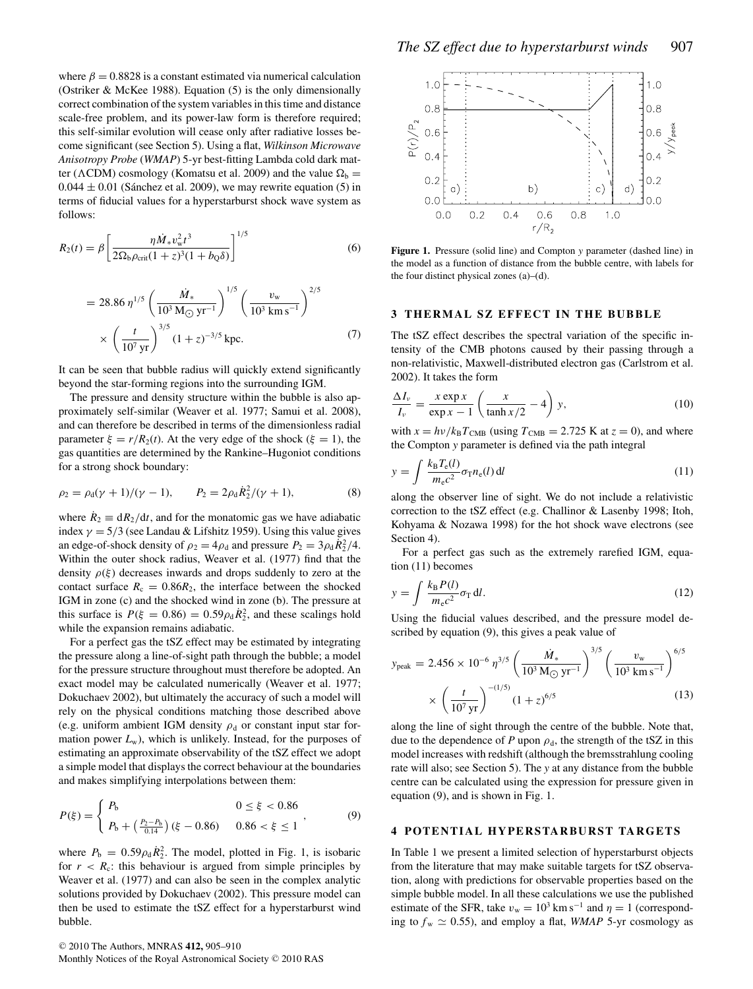where  $\beta = 0.8828$  is a constant estimated via numerical calculation (Ostriker & McKee 1988). Equation (5) is the only dimensionally correct combination of the system variables in this time and distance scale-free problem, and its power-law form is therefore required; this self-similar evolution will cease only after radiative losses become significant (see Section 5). Using a flat, *Wilkinson Microwave Anisotropy Probe* (*WMAP*) 5-yr best-fitting Lambda cold dark matter ( $\Lambda$ CDM) cosmology (Komatsu et al. 2009) and the value  $\Omega_b =$  $0.044 \pm 0.01$  (Sánchez et al. 2009), we may rewrite equation (5) in terms of fiducial values for a hyperstarburst shock wave system as follows:

$$
R_2(t) = \beta \left[ \frac{\eta \dot{M}_* v_w^2 t^3}{2\Omega_b \rho_{\rm crit} (1+z)^3 (1+b_0 \delta)} \right]^{1/5}
$$
(6)

$$
= 28.86 \,\eta^{1/5} \left(\frac{\dot{M}_{*}}{10^{3} \,\text{M}_{\odot} \,\text{yr}^{-1}}\right)^{1/5} \left(\frac{v_{\text{w}}}{10^{3} \,\text{km s}^{-1}}\right)^{2/5} \times \left(\frac{t}{10^{7} \,\text{yr}}\right)^{3/5} (1+z)^{-3/5} \,\text{kpc.}
$$
 (7)

It can be seen that bubble radius will quickly extend significantly beyond the star-forming regions into the surrounding IGM.

The pressure and density structure within the bubble is also approximately self-similar (Weaver et al. 1977; Samui et al. 2008), and can therefore be described in terms of the dimensionless radial parameter  $\xi = r/R_2(t)$ . At the very edge of the shock ( $\xi = 1$ ), the gas quantities are determined by the Rankine–Hugoniot conditions for a strong shock boundary:

$$
\rho_2 = \rho_d(\gamma + 1)/(\gamma - 1), \qquad P_2 = 2\rho_d \dot{R}_2^2/(\gamma + 1), \tag{8}
$$

where  $\dot{R}_2 \equiv dR_2/dt$ , and for the monatomic gas we have adiabatic index  $\gamma = 5/3$  (see Landau & Lifshitz 1959). Using this value gives an edge-of-shock density of  $\rho_2 = 4\rho_d$  and pressure  $P_2 = 3\rho_d \dot{R}_2^2/4$ .<br>Within the outer shock radius Weaver et al. (1977) find that the Within the outer shock radius, Weaver et al. (1977) find that the density  $\rho(\xi)$  decreases inwards and drops suddenly to zero at the contact surface  $R_c = 0.86R_2$ , the interface between the shocked IGM in zone (c) and the shocked wind in zone (b). The pressure at this surface is  $P(\xi = 0.86) = 0.59 \rho_d \dot{R}_2^2$ , and these scalings hold while the expansion remains adjabatic while the expansion remains adiabatic.

For a perfect gas the tSZ effect may be estimated by integrating the pressure along a line-of-sight path through the bubble; a model for the pressure structure throughout must therefore be adopted. An exact model may be calculated numerically (Weaver et al. 1977; Dokuchaev 2002), but ultimately the accuracy of such a model will rely on the physical conditions matching those described above (e.g. uniform ambient IGM density  $\rho_d$  or constant input star formation power  $L_w$ ), which is unlikely. Instead, for the purposes of estimating an approximate observability of the tSZ effect we adopt a simple model that displays the correct behaviour at the boundaries and makes simplifying interpolations between them:

$$
P(\xi) = \begin{cases} P_b & 0 \le \xi < 0.86 \\ P_b + \left(\frac{P_2 - P_b}{0.14}\right)(\xi - 0.86) & 0.86 < \xi \le 1 \end{cases}
$$
 (9)

where  $P_b = 0.59 \rho_d \dot{R}_2^2$ . The model, plotted in Fig. 1, is isobaric for  $r > R$ : this behaviour is argued from simple principles by for  $r < R_c$ : this behaviour is argued from simple principles by Weaver et al. (1977) and can also be seen in the complex analytic solutions provided by Dokuchaev (2002). This pressure model can then be used to estimate the tSZ effect for a hyperstarburst wind bubble.



**Figure 1.** Pressure (solid line) and Compton *y* parameter (dashed line) in the model as a function of distance from the bubble centre, with labels for the four distinct physical zones (a)–(d).

#### **3 THERMAL SZ EFFECT IN THE BUBBLE**

The tSZ effect describes the spectral variation of the specific intensity of the CMB photons caused by their passing through a non-relativistic, Maxwell-distributed electron gas (Carlstrom et al. 2002). It takes the form

$$
\frac{\Delta I_v}{I_v} = \frac{x \exp x}{\exp x - 1} \left( \frac{x}{\tanh x/2} - 4 \right) y,\tag{10}
$$

with  $x = h\nu/k_B T_{\text{CMB}}$  (using  $T_{\text{CMB}} = 2.725$  K at  $z = 0$ ), and where the Compton *y* parameter is defined via the path integral

$$
y = \int \frac{k_{\rm B} T_{\rm e}(l)}{m_{\rm e} c^2} \sigma_{\rm T} n_{\rm e}(l) \, \mathrm{d}l
$$
 (11)  
along the observer line of sight. We do not include a relativistic

correction to the tSZ effect (e.g. Challinor & Lasenby 1998; Itoh, Kohyama & Nozawa 1998) for the hot shock wave electrons (see Section 4).

For a perfect gas such as the extremely rarefied IGM, equation (11) becomes

$$
y = \int \frac{k_{\rm B} P(l)}{m_{\rm e} c^2} \sigma_{\rm T} \, \mathrm{d}l. \tag{12}
$$

Using the fiducial values described, and the pressure model described by equation (9), this gives a peak value of

$$
y_{\text{peak}} = 2.456 \times 10^{-6} \eta^{3/5} \left(\frac{\dot{M}_*}{10^3 \text{ M}_{\odot} \text{ yr}^{-1}}\right)^{3/5} \left(\frac{v_{\text{w}}}{10^3 \text{ km s}^{-1}}\right)^{6/5} \times \left(\frac{t}{10^7 \text{ yr}}\right)^{-(1/5)} (1+z)^{6/5}
$$
(13)

along the line of sight through the centre of the bubble. Note that, due to the dependence of *P* upon  $\rho_d$ , the strength of the tSZ in this model increases with redshift (although the bremsstrahlung cooling rate will also; see Section 5). The *y* at any distance from the bubble centre can be calculated using the expression for pressure given in equation (9), and is shown in Fig. 1.

# **4 POTENTIAL HYPERSTARBURST TARGETS**

In Table 1 we present a limited selection of hyperstarburst objects from the literature that may make suitable targets for tSZ observation, along with predictions for observable properties based on the simple bubble model. In all these calculations we use the published estimate of the SFR, take  $v_w = 10^3$  km s<sup>-1</sup> and  $\eta = 1$  (corresponding to  $f_w \simeq 0.55$ ), and employ a flat, *WMAP* 5-yr cosmology as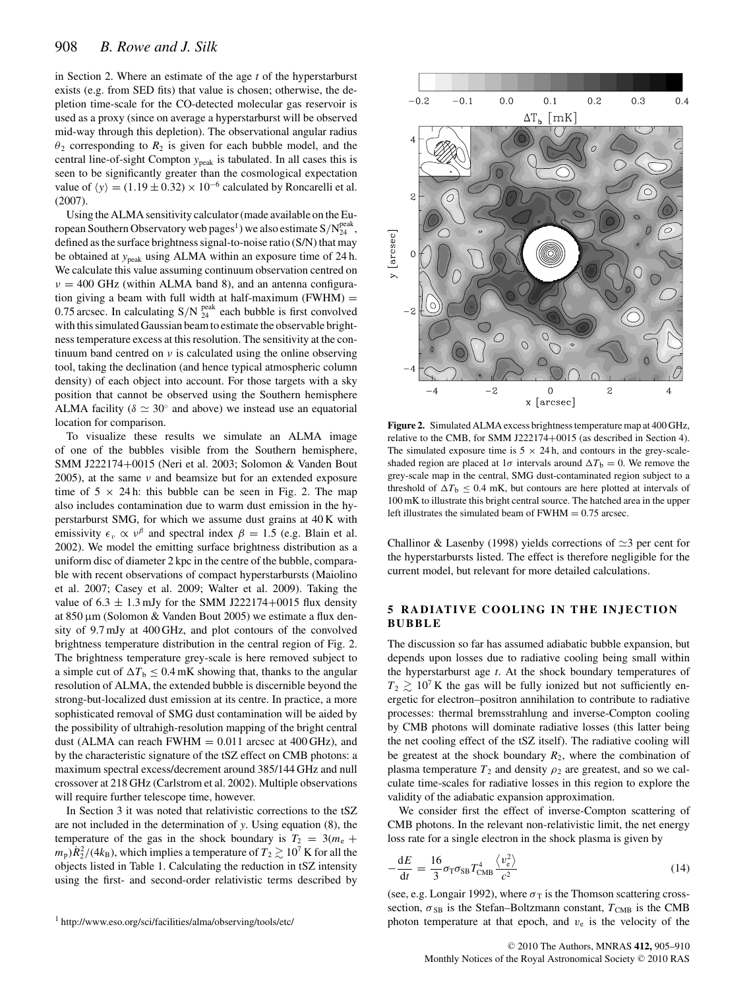in Section 2. Where an estimate of the age *t* of the hyperstarburst exists (e.g. from SED fits) that value is chosen; otherwise, the depletion time-scale for the CO-detected molecular gas reservoir is used as a proxy (since on average a hyperstarburst will be observed mid-way through this depletion). The observational angular radius  $\theta_2$  corresponding to  $R_2$  is given for each bubble model, and the central line-of-sight Compton *y*peak is tabulated. In all cases this is seen to be significantly greater than the cosmological expectation value of  $\langle y \rangle = (1.19 \pm 0.32) \times 10^{-6}$  calculated by Roncarelli et al. (2007) (2007).

Using the ALMA sensitivity calculator (made available on the European Southern Observatory web pages<sup>1</sup>) we also estimate  $S/N_{24}^{\text{peak}}$ ,<br>defined as the surface brightness signal-to-noise ratio (S/N) that may defined as the surface brightness signal-to-noise ratio (S/N) that may be obtained at *y*<sub>peak</sub> using ALMA within an exposure time of 24 h. We calculate this value assuming continuum observation centred on *ν* <sup>=</sup> 400 GHz (within ALMA band 8), and an antenna configuration giving a beam with full width at half-maximum  $(FWHM) =$ 0.75 arcsec. In calculating  $S/N^{peak}_{24}$  each bubble is first convolved<br>with this simulated Gaussian beam to estimate the observable brightwith this simulated Gaussian beam to estimate the observable brightness temperature excess at this resolution. The sensitivity at the continuum band centred on *ν* is calculated using the online observing tool, taking the declination (and hence typical atmospheric column density) of each object into account. For those targets with a sky position that cannot be observed using the Southern hemisphere ALMA facility ( $\delta \simeq 30^\circ$  and above) we instead use an equatorial location for comparison.

To visualize these results we simulate an ALMA image of one of the bubbles visible from the Southern hemisphere, SMM J222174+0015 (Neri et al. 2003; Solomon & Vanden Bout 2005), at the same *ν* and beamsize but for an extended exposure time of  $5 \times 24$  h: this bubble can be seen in Fig. 2. The map also includes contamination due to warm dust emission in the hyperstarburst SMG, for which we assume dust grains at 40 K with emissivity  $\epsilon_v \propto v^{\beta}$  and spectral index  $\beta = 1.5$  (e.g. Blain et al. 2002). We model the emitting surface brightness distribution as a uniform disc of diameter 2 kpc in the centre of the bubble, comparable with recent observations of compact hyperstarbursts (Maiolino et al. 2007; Casey et al. 2009; Walter et al. 2009). Taking the value of  $6.3 \pm 1.3$  mJy for the SMM J222174+0015 flux density at 850 µm (Solomon & Vanden Bout 2005) we estimate a flux density of 9.7 mJy at 400 GHz, and plot contours of the convolved brightness temperature distribution in the central region of Fig. 2. The brightness temperature grey-scale is here removed subject to a simple cut of  $\Delta T_b \leq 0.4$  mK showing that, thanks to the angular resolution of ALMA, the extended bubble is discernible beyond the strong-but-localized dust emission at its centre. In practice, a more sophisticated removal of SMG dust contamination will be aided by the possibility of ultrahigh-resolution mapping of the bright central dust (ALMA can reach FWHM  $= 0.011$  arcsec at 400 GHz), and by the characteristic signature of the tSZ effect on CMB photons: a maximum spectral excess/decrement around 385/144 GHz and null crossover at 218 GHz (Carlstrom et al. 2002). Multiple observations will require further telescope time, however.

In Section 3 it was noted that relativistic corrections to the tSZ are not included in the determination of *y*. Using equation (8), the temperature of the gas in the shock boundary is  $T_2 = 3(m_e +$  $m_p$ ) $R_2^2/(4k_B)$ , which implies a temperature of  $T_2 \gtrsim 10^7$  K for all the objects listed in Table 1. Calculating the reduction in 1SZ intensity objects listed in Table 1. Calculating the reduction in tSZ intensity using the first- and second-order relativistic terms described by



**Figure 2.** Simulated ALMA excess brightness temperature map at 400 GHz, relative to the CMB, for SMM J222174+0015 (as described in Section 4). The simulated exposure time is  $5 \times 24$  h, and contours in the grey-scaleshaded region are placed at  $1\sigma$  intervals around  $\Delta T_b = 0$ . We remove the grey-scale map in the central, SMG dust-contaminated region subject to a threshold of  $\Delta T_{\rm b} \leq 0.4$  mK, but contours are here plotted at intervals of 100 mK to illustrate this bright central source. The hatched area in the upper left illustrates the simulated beam of  $FWHM = 0.75$  arcsec.

Challinor & Lasenby (1998) yields corrections of  $\simeq$  3 per cent for the hyperstarbursts listed. The effect is therefore negligible for the current model, but relevant for more detailed calculations.

## **5 RADIATIVE COOLING IN THE INJECTION BUBBLE**

The discussion so far has assumed adiabatic bubble expansion, but depends upon losses due to radiative cooling being small within the hyperstarburst age *t*. At the shock boundary temperatures of  $T_2 \gtrsim 10^7$  K the gas will be fully ionized but not sufficiently energetic for electron–positron annihilation to contribute to radiative processes: thermal bremsstrahlung and inverse-Compton cooling by CMB photons will dominate radiative losses (this latter being the net cooling effect of the tSZ itself). The radiative cooling will be greatest at the shock boundary  $R_2$ , where the combination of plasma temperature  $T_2$  and density  $\rho_2$  are greatest, and so we calculate time-scales for radiative losses in this region to explore the validity of the adiabatic expansion approximation.

We consider first the effect of inverse-Compton scattering of CMB photons. In the relevant non-relativistic limit, the net energy loss rate for a single electron in the shock plasma is given by

$$
-\frac{dE}{dt} = \frac{16}{3}\sigma_{\rm T}\sigma_{\rm SB}T_{\rm CMB}^4 \frac{\langle v_{\rm e}^2 \rangle}{c^2}
$$
(14)

(see, e.g. Longair 1992), where  $\sigma_T$  is the Thomson scattering cross-<br>section  $\sigma_{\text{on}}$  is the Stefan-Boltzmann constant  $T_{\text{on}}$  is the CMB section,  $\sigma_{SB}$  is the Stefan–Boltzmann constant,  $T_{CMB}$  is the CMB photon temperature at that epoch, and  $v_e$  is the velocity of the

<sup>1</sup> http://www.eso.org/sci/facilities/alma/observing/tools/etc/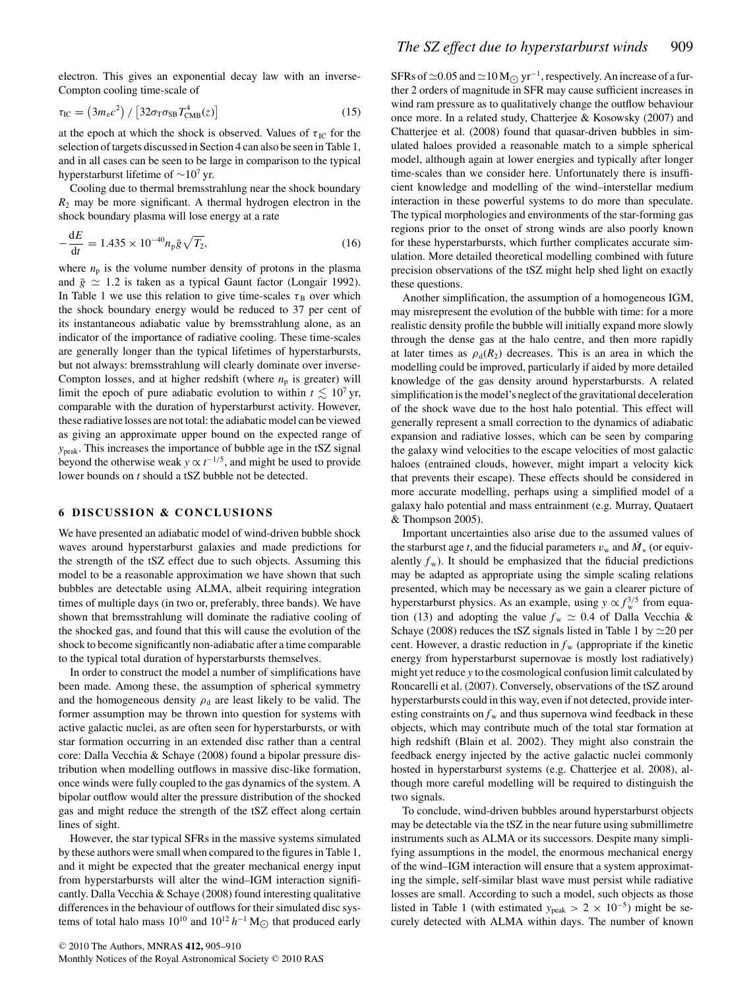electron. This gives an exponential decay law with an inverse-Compton cooling time-scale of

$$
\tau_{\rm IC} = \left(3m_{\rm e}c^2\right) / \left[32\sigma_{\rm T}\sigma_{\rm SB}T_{\rm CMB}^4(z)\right] \tag{15}
$$

at the epoch at which the shock is observed. Values of  $\tau_{\text{IC}}$  for the selection of targets discussed in Section 4 can also be seen in Table 1, and in all cases can be seen to be large in comparison to the typical hyperstarburst lifetime of  $\sim$ 10<sup>7</sup> yr.

Cooling due to thermal bremsstrahlung near the shock boundary  $R_2$  may be more significant. A thermal hydrogen electron in the shock boundary plasma will lose energy at a rate

$$
-\frac{dE}{dt} = 1.435 \times 10^{-40} n_{\text{p}} \bar{g} \sqrt{T_2},
$$
 (16)  
where  $n_{\text{p}}$  is the volume number density of protons in the plasma

and  $\bar{g} \simeq 1.2$  is taken as a typical Gaunt factor (Longair 1992). In Table 1 we use this relation to give time-scales  $\tau_B$  over which the shock boundary energy would be reduced to 37 per cent of its instantaneous adiabatic value by bremsstrahlung alone, as an indicator of the importance of radiative cooling. These time-scales are generally longer than the typical lifetimes of hyperstarbursts, but not always: bremsstrahlung will clearly dominate over inverse-Compton losses, and at higher redshift (where  $n<sub>p</sub>$  is greater) will limit the epoch of pure adiabatic evolution to within  $t \leq 10^7$  yr, comparable with the duration of hyperstarburst activity. However, these radiative losses are not total: the adiabatic model can be viewed as giving an approximate upper bound on the expected range of *y*peak. This increases the importance of bubble age in the tSZ signal beyond the otherwise weak  $y \propto t^{-1/5}$ , and might be used to provide lower bounds on *t* should a tSZ bubble not be detected.

# **6 DISCUSSION & CONCLUSIONS**

We have presented an adiabatic model of wind-driven bubble shock waves around hyperstarburst galaxies and made predictions for the strength of the tSZ effect due to such objects. Assuming this model to be a reasonable approximation we have shown that such bubbles are detectable using ALMA, albeit requiring integration times of multiple days (in two or, preferably, three bands). We have shown that bremsstrahlung will dominate the radiative cooling of the shocked gas, and found that this will cause the evolution of the shock to become significantly non-adiabatic after a time comparable to the typical total duration of hyperstarbursts themselves.

In order to construct the model a number of simplifications have been made. Among these, the assumption of spherical symmetry and the homogeneous density  $\rho_d$  are least likely to be valid. The former assumption may be thrown into question for systems with active galactic nuclei, as are often seen for hyperstarbursts, or with star formation occurring in an extended disc rather than a central core: Dalla Vecchia & Schaye (2008) found a bipolar pressure distribution when modelling outflows in massive disc-like formation, once winds were fully coupled to the gas dynamics of the system. A bipolar outflow would alter the pressure distribution of the shocked gas and might reduce the strength of the tSZ effect along certain lines of sight.

However, the star typical SFRs in the massive systems simulated by these authors were small when compared to the figures in Table 1, and it might be expected that the greater mechanical energy input from hyperstarbursts will alter the wind–IGM interaction significantly. Dalla Vecchia & Schaye (2008) found interesting qualitative differences in the behaviour of outflows for their simulated disc systems of total halo mass  $10^{10}$  and  $10^{12}$  *h*<sup>−1</sup> M<sub> $\odot$ </sub> that produced early

SFRs of  $\approx$  0.05 and  $\approx$  10 M  $\odot$  yr<sup>-1</sup>, respectively. An increase of a further 2 orders of magnitude in SFR may cause sufficient increases in wind ram pressure as to qualitatively change the outflow behaviour once more. In a related study, Chatterjee & Kosowsky (2007) and Chatterjee et al. (2008) found that quasar-driven bubbles in simulated haloes provided a reasonable match to a simple spherical model, although again at lower energies and typically after longer time-scales than we consider here. Unfortunately there is insufficient knowledge and modelling of the wind–interstellar medium interaction in these powerful systems to do more than speculate. The typical morphologies and environments of the star-forming gas regions prior to the onset of strong winds are also poorly known for these hyperstarbursts, which further complicates accurate simulation. More detailed theoretical modelling combined with future precision observations of the tSZ might help shed light on exactly these questions.

Another simplification, the assumption of a homogeneous IGM, may misrepresent the evolution of the bubble with time: for a more realistic density profile the bubble will initially expand more slowly through the dense gas at the halo centre, and then more rapidly at later times as  $\rho_d(R_2)$  decreases. This is an area in which the modelling could be improved, particularly if aided by more detailed knowledge of the gas density around hyperstarbursts. A related simplification is the model's neglect of the gravitational deceleration of the shock wave due to the host halo potential. This effect will generally represent a small correction to the dynamics of adiabatic expansion and radiative losses, which can be seen by comparing the galaxy wind velocities to the escape velocities of most galactic haloes (entrained clouds, however, might impart a velocity kick that prevents their escape). These effects should be considered in more accurate modelling, perhaps using a simplified model of a galaxy halo potential and mass entrainment (e.g. Murray, Quataert & Thompson 2005).

Important uncertainties also arise due to the assumed values of the starburst age *t*, and the fiducial parameters  $v_w$  and  $\dot{M}_*$  (or equivalently  $f_w$ ). It should be emphasized that the fiducial predictions may be adapted as appropriate using the simple scaling relations presented, which may be necessary as we gain a clearer picture of hyperstarburst physics. As an example, using  $y \propto f_w^{3/5}$  from equation (13) and adopting the value  $f_w \simeq 0.4$  of Dalla Vecchia & Schaye (2008) reduces the tSZ signals listed in Table 1 by  $\simeq$  20 per cent. However, a drastic reduction in  $f_w$  (appropriate if the kinetic energy from hyperstarburst supernovae is mostly lost radiatively) might yet reduce *y* to the cosmological confusion limit calculated by Roncarelli et al. (2007). Conversely, observations of the tSZ around hyperstarbursts could in this way, even if not detected, provide interesting constraints on  $f_w$  and thus supernova wind feedback in these objects, which may contribute much of the total star formation at high redshift (Blain et al. 2002). They might also constrain the feedback energy injected by the active galactic nuclei commonly hosted in hyperstarburst systems (e.g. Chatterjee et al. 2008), although more careful modelling will be required to distinguish the two signals.

To conclude, wind-driven bubbles around hyperstarburst objects may be detectable via the tSZ in the near future using submillimetre instruments such as ALMA or its successors. Despite many simplifying assumptions in the model, the enormous mechanical energy of the wind–IGM interaction will ensure that a system approximating the simple, self-similar blast wave must persist while radiative losses are small. According to such a model, such objects as those listed in Table 1 (with estimated  $y_{\text{peak}} > 2 \times 10^{-5}$ ) might be securely detected with ALMA within days. The number of known